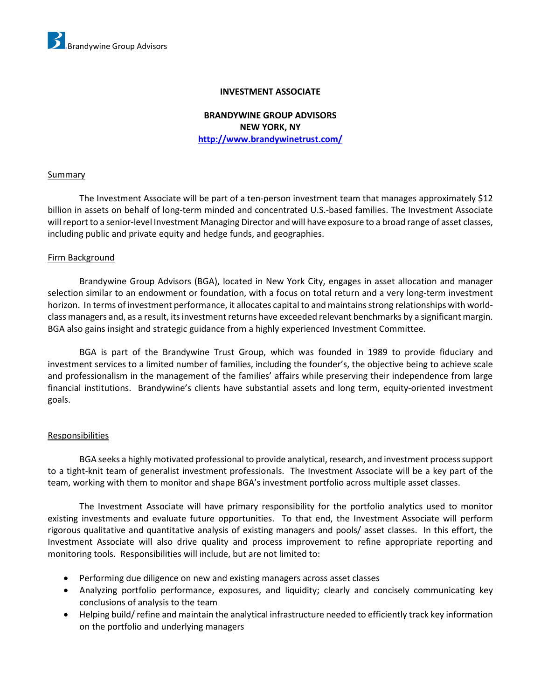### **INVESTMENT ASSOCIATE**

# **BRANDYWINE GROUP ADVISORS NEW YORK, NY <http://www.brandywinetrust.com/>**

### **Summary**

The Investment Associate will be part of a ten-person investment team that manages approximately \$12 billion in assets on behalf of long-term minded and concentrated U.S.-based families. The Investment Associate will report to a senior-level Investment Managing Director and will have exposure to a broad range of asset classes, including public and private equity and hedge funds, and geographies.

### Firm Background

Brandywine Group Advisors (BGA), located in New York City, engages in asset allocation and manager selection similar to an endowment or foundation, with a focus on total return and a very long-term investment horizon. In terms of investment performance, it allocates capital to and maintains strong relationships with worldclass managers and, as a result, its investment returns have exceeded relevant benchmarks by a significant margin. BGA also gains insight and strategic guidance from a highly experienced Investment Committee.

BGA is part of the Brandywine Trust Group, which was founded in 1989 to provide fiduciary and investment services to a limited number of families, including the founder's, the objective being to achieve scale and professionalism in the management of the families' affairs while preserving their independence from large financial institutions. Brandywine's clients have substantial assets and long term, equity-oriented investment goals.

## Responsibilities

BGA seeks a highly motivated professional to provide analytical, research, and investment process support to a tight-knit team of generalist investment professionals. The Investment Associate will be a key part of the team, working with them to monitor and shape BGA's investment portfolio across multiple asset classes.

The Investment Associate will have primary responsibility for the portfolio analytics used to monitor existing investments and evaluate future opportunities. To that end, the Investment Associate will perform rigorous qualitative and quantitative analysis of existing managers and pools/ asset classes. In this effort, the Investment Associate will also drive quality and process improvement to refine appropriate reporting and monitoring tools. Responsibilities will include, but are not limited to:

- Performing due diligence on new and existing managers across asset classes
- Analyzing portfolio performance, exposures, and liquidity; clearly and concisely communicating key conclusions of analysis to the team
- Helping build/ refine and maintain the analytical infrastructure needed to efficiently track key information on the portfolio and underlying managers